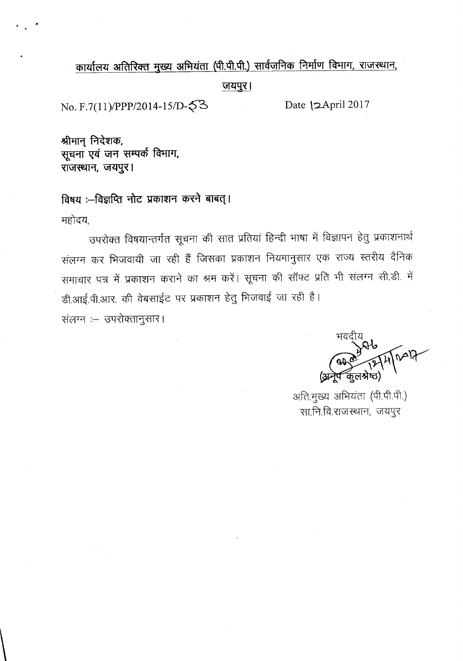# कार्यालय अतिरिक्त मुख्य अभियंता (पी.पी.पी.) सार्वजनिक निर्माण विभाग, राजस्थान,

**\l1119)'< I**

No. F.7(11)/PPP/2014-15/D- $\sqrt{3}$  Date  $\;$  2April 2017

श्रीमान निदेशक, सूचना एवं जन सम्पर्क विभाग, **~, \l1119)'< I**

विषय :-विज्ञप्ति नोट प्रकाशन करने बाबत्। महोदय,

उपरोक्त विषयान्तर्गत सूचना की सात प्रतियां हिन्दी भाषा में विज्ञापन हेतु प्रकाशनार्थ संलग्न कर भिजवायी जा रही हैं जिसका प्रकाशन नियमानुसार एक राज्य स्तरीय दैनिक समाचार पत्र में प्रकाशन कराने का श्रम करें। सूचना की सॉफ्ट प्रति भी संलग्न सी.डी. में डी.आई.पी.आर. की वेबसाईट पर प्रकाशन हेतु भिजवाई जा रही है।

संलग्न :- उपरोक्तानुसार।

 $\setminus$ 

अति.मुख्य अभियंता (पी.पी.पी.) सा.नि.वि.राजस्थान, जयपुर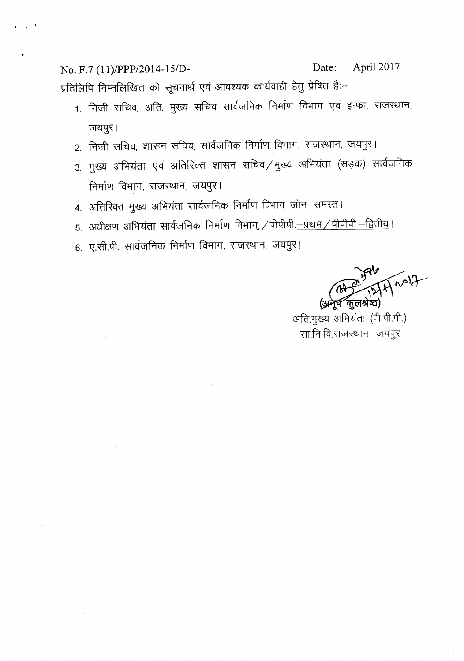No. F.7 *(11)IPPP/2014-151D-* Date: April 2017 प्रतिलिपि निम्नलिखित को सूचनार्थ एवं आवश्यक कार्यवाही हेतु प्रेषित है:–

- 1. निजी सचिव, अति. मुख्य सचिव सार्वजनिक निर्माण विभाग एवं इन्फ्रा, राजस्थान, जयपुर।
- 2. निजी सचिव, शासन सचिव, सार्वजनिक निर्माण विभाग, राजस्थान, जयपुर।
- 3. मुख्य अभियंता एवं अतिरिक्त शासन सचिव /मुख्य अभियंता (सड़क) सार्वजनिक निर्माण विभाग, राजस्थान, जयपुर।
- 4. अतिरिक्त मुख्य अभियंता सार्वजनिक निर्माण विभाग जोन–समस्त।
- 5. अधीक्षण अभियंता सार्वजनिक निर्माण विभाग, <u>/ पीपीपी.–प्रथम / पीपीपी.–द्वितीय</u>।
- 6. ए.सी.पी. सार्वजनिक निर्माण विभाग, राजस्थान, जयपुर।

अति.मुख्य अभियंता (पी.पी.पी.) सा.नि.वि.राजस्थान, जयपुर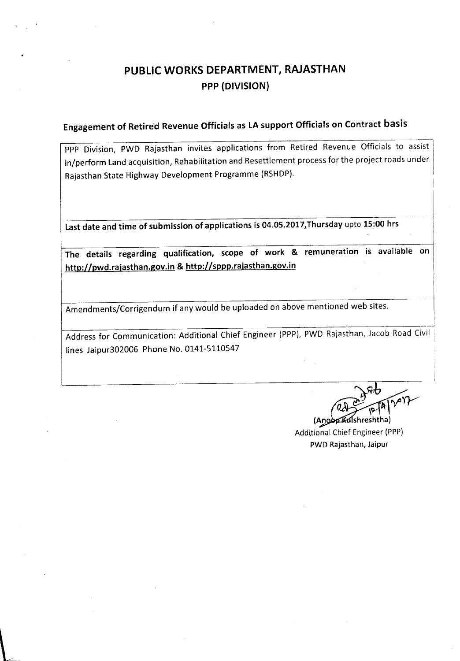# PUBLIC WORKS DEPARTMENT, RAJASTHAN PPP (DIVISION)

# Engagement of Retired Revenue Officials as LA support Officials on Contract basis

PPP Division, PWD Rajasthan invites applications from Retired Revenue Officials to assist in/perform Land acquisition, Rehabilitation and Resettlement process for the project roads under Rajasthan State Highway Development Programme (RSHDP).

Last date and time of submission of applications is 04.05.2017,Thursday upto 15:00 hrs

The details regarding qualification, scope of work & remuneration is available on http://pwd.rajasthan.gov.in & http://sppp.rajasthan.gov.in

Amendments/Corrigendum if any would be uploaded on above mentioned web sites.

Address for Communication: Additional Chief Engineer {PPP}, PWD Rajasthan, Jacob Road Civil lines Jaipur302006 Phone No. 0141-5110547

\_\_\_·\_\_\_l

(Angop Kulshreshtha) **Additional Chief Engineer (PPP)** PWD Rajasthan, Jaipur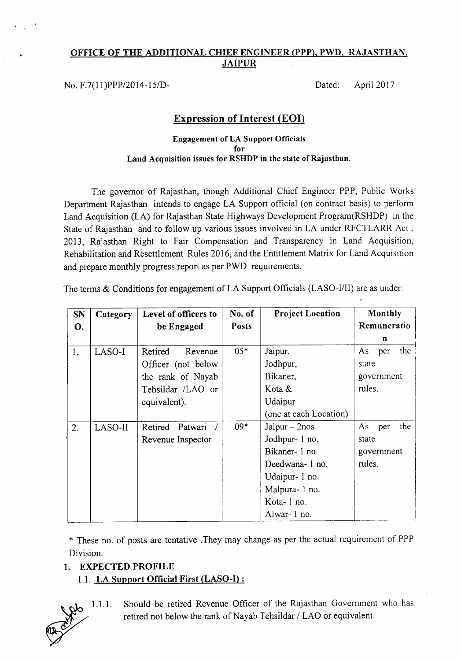### **OFFICE OF THE ADDITIONAL CHIEF ENGINEER (PPP), PWD, RAJASTHAN, JAIPUR**

No. *F.7(l1)PPP/2014-15/D-* Dated: April 2017

## **Expression of Interest (EOI)**

#### **Engagement of LA Support Officials for Land Acquisition issues for RSHDP in the state** of Rajasthan.

The governor of Rajasthan, though Additional Chief Engineer PPP, Public Works Department Rajasthan intends to engage LA Support official (on contract basis) to perform Land Acquisition (LA) for Rajasthan State Highways Development Program(RSHDP) in the State of Rajasthan and to follow up various issues involved in LA under RFCTLARR Act. 2013, Rajasthan Right to Fair Compensation and Transparency in Land Acquisition, Rehabilitation and Resettlement Rules 2016, and the Entitlement Matrix for Land Acquisition and prepare monthly progress report as per PWD requirements.

The terms & Conditions for engagement of LA Support Officials (LASO-I/II) are as under:

| <b>SN</b> | Category | Level of officers to | No. of       | <b>Project Location</b> | Monthly          |
|-----------|----------|----------------------|--------------|-------------------------|------------------|
| О.        |          | be Engaged           | <b>Posts</b> |                         | Remuneratio      |
|           |          |                      |              |                         | n                |
| 1.        | LASO-I   | Retired<br>Revenue   | $05*$        | Jaipur,                 | the<br>As<br>per |
|           |          | Officer (not below)  |              | Jodhpur,                | state            |
|           |          | the rank of Nayab    |              | Bikaner,                | government       |
|           |          | Tehsildar /LAO or    |              | Kota $&$                | rules.           |
|           |          | equivalent).         |              | Udaipur                 |                  |
|           |          |                      |              | (one at each Location)  |                  |
| 2.        | LASO-II  | Retired<br>Patwari   | $09*$        | Jaipur $-2nos$          | the<br>As per    |
|           |          | Revenue Inspector    |              | Jodhpur- 1 no.          | state            |
|           |          |                      |              | Bikaner- 1 no.          | government       |
|           |          |                      |              | Deedwana- 1 no.         | rules.           |
|           |          |                      |              | Udaipur- 1 no.          |                  |
|           |          |                      |              | Malpura-1 no.           |                  |
|           |          |                      |              | Kota-1 no.              |                  |
|           |          |                      |              | Alwar-1 no.             |                  |

\* These no. of posts are tentative .They may change as per the actual requirement of PPP Division.

### **1. EXPECTED PROFILE**

1.1. **LA Support Official First (LASO-I) :**

~ 1.1.1. *f1V*

Should be retired Revenue Officer of the Rajasthan Government who has retired not below the rank of Nayab Tehsildar *I* LAO or equivalent.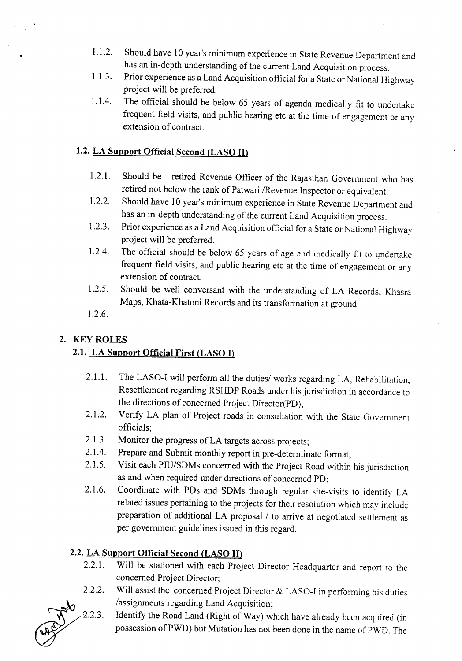- 1.1.2. Should have 10 year's minimum experience in State Revenue Department and has an in-depth understanding of the current Land Acquisition process.
- 1.1.3. Prior experience as a Land Acquisition official for a State or National Highway project will be preferred.
- *1.104.* The official should be below 65 years of agenda medically fit to undertake frequent field visits, and public hearing etc at the time of engagement or any extension of contract.

## 1.2. LA Support Official Second (LASO II)

- 1.2.1. Should be retired Revenue Officer of the Rajasthan Government who has retired not below the rank of Patwari *IRevenue* Inspector or equivalent.
- 1.2.2. Should have 10 year's minimum experience in State Revenue Department and has an in-depth understanding of the current Land Acquisition process.
- 1.2.3. Prior experience as a Land Acquisition official for a State or National Highway project will be preferred.
- 1.2.4. The official should be below 65 years of age and medically fit to undertake frequent field visits, and public hearing etc at the time of engagement or any extension of contract.
- 1.2.5. Should be well conversant with the understanding of LA Records, Khasra Maps, Khata-Khatoni Records and its transformation at ground.
- 1.2.6.

### 2. KEYROLES

*\_:to/2.2.3.*

~

## 2.1. LA Support Official First (LASO I)

- 2.1.1. The LASO-I will perform all the duties/ works regarding LA, Rehabilitation, Resettlement regarding RSHDP Roads under his jurisdiction in accordance to the directions of concerned Project Director(PD);
- 2.1.2. Verify LA plan of Project roads in consultation with the State Government officials;
- 2.1.3. Monitor the progress of LA targets across projects;
- 2.1.4. Prepare and Submit monthly report in pre-determinate format;
- 2.1.5. Visit each PIU/SDMs concerned with the Project Road within his jurisdiction as and when required under directions of concerned PD;
- 2.1.6. Coordinate with PDs and SDMs through regular site-visits to identify LA related issues pertaining to the projects for their resolution which may include preparation of additional LA proposal *I* to arrive at negotiated settlement as per government guidelines issued in this regard.

## 2.2. LA Support Official Second (LASO II)

- 2.2.1. Will be stationed with each Project Director Headquarter and report to the concerned Project Director;
- Will assist the concerned Project Director & LASO-I in performing his duties /assignments regarding Land Acquisition; 2.2.2.

Identify the Road Land (Right of Way) which have already been acquired (in possession of PWD) but Mutation has not been done in the name of PWD. The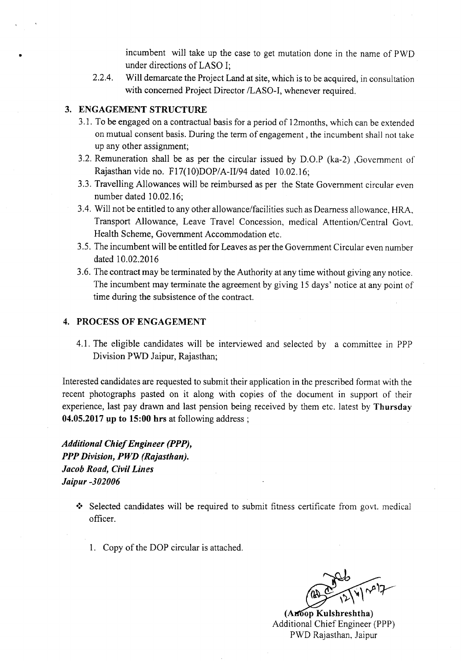incumbent will take up the case to get mutation done in the name of PWD under directions of LASO I;

2.2.4. Will demarcate the Project Land at site, which is to be acquired, in consultation with concerned Project Director /LASO-I, whenever required.

### 3.ENGAGEMENT STRUCTURE

•

- 3.1. To be engaged on a contractual basis for a period of 12months, which can be extended on mutual consent basis. During the term of engagement, the incumbent shall not take up any other assignment;
- 3.2. Remuneration shall be as per the circular issued by D.O.P (ka-2) ,Government of Rajasthan vide no. F17(10)DOP/A-II/94 dated 10.02.16;
- 3.3. Travelling Allowances will be reimbursed as per the State Government circular even number dated 10.02.16;
- 3.4. Will not be entitled to any other allowance/facilities such as Dearness allowance, HRA, Transport Allowance, Leave Travel Concession, medical Attention/Central Govt. Health Scheme, Government Accommodation etc.
- 3.5. The incumbent will be entitled for Leaves as per the Government Circular even number dated 10.02.2016
- 3.6. The contract may be terminated by the Authority at any time without giving any notice. The incumbent may terminate the agreement by giving 15 days' notice at any point of time during the subsistence of the contract.

#### 4.PROCESSOFENGAGEMENT

4.1. The eligible candidates will be interviewed and selected by a committee in PPP Division PWD Jaipur, Rajasthan;

Interested candidates are requested to submit their application in the prescribed format with the recent photographs pasted on it along with copies of the document in support of their experience, last pay drawn and last pension being received by them etc. latest by Thursday 04.05.2017 up to 15:00 hrs at following address;

*Additional Chief Engineer (PPP), PPP Division, PWD (Rajasthan). Jacob Road, Civil Lines Jaipur -302006*

- $\cdot$  Selected candidates will be required to submit fitness certificate from govt. medical officer.
	- 1. Copy of the DOP circular is attached.

(Anoop Kulshreshtha) Additional Chief Engineer (PPP) PWD Rajasthan, Jaipur